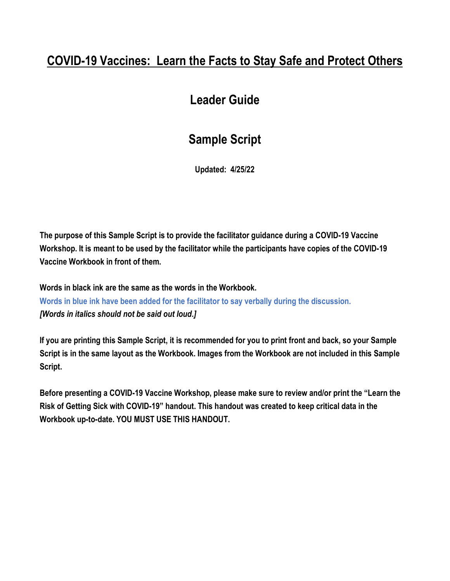# **COVID-19 Vaccines: Learn the Facts to Stay Safe and Protect Others**

# **Leader Guide**

# **Sample Script**

**Updated: 4/25/22**

**The purpose of this Sample Script is to provide the facilitator guidance during a COVID-19 Vaccine Workshop. It is meant to be used by the facilitator while the participants have copies of the COVID-19 Vaccine Workbook in front of them.**

**Words in black ink are the same as the words in the Workbook. Words in blue ink have been added for the facilitator to say verbally during the discussion.**  *[Words in italics should not be said out loud.]* 

**If you are printing this Sample Script, it is recommended for you to print front and back, so your Sample Script is in the same layout as the Workbook. Images from the Workbook are not included in this Sample Script.**

**Before presenting a COVID-19 Vaccine Workshop, please make sure to review and/or print the "Learn the Risk of Getting Sick with COVID-19" handout. This handout was created to keep critical data in the Workbook up-to-date. YOU MUST USE THIS HANDOUT.**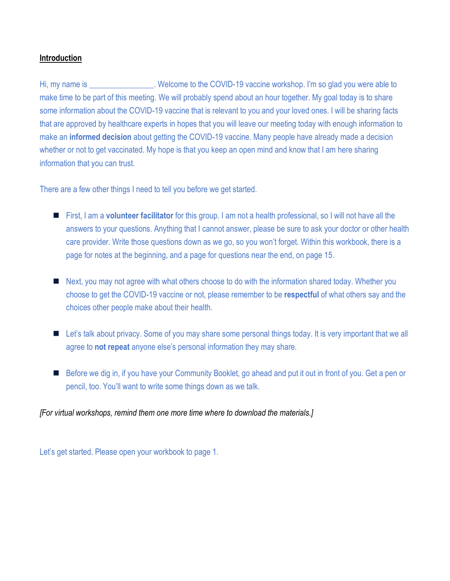## **Introduction**

Hi, my name is \_\_\_\_\_\_\_\_\_\_\_\_\_\_\_\_. Welcome to the COVID-19 vaccine workshop. I'm so glad you were able to make time to be part of this meeting. We will probably spend about an hour together. My goal today is to share some information about the COVID-19 vaccine that is relevant to you and your loved ones. I will be sharing facts that are approved by healthcare experts in hopes that you will leave our meeting today with enough information to make an **informed decision** about getting the COVID-19 vaccine. Many people have already made a decision whether or not to get vaccinated. My hope is that you keep an open mind and know that I am here sharing information that you can trust.

There are a few other things I need to tell you before we get started.

- First, I am a **volunteer facilitator** for this group. I am not a health professional, so I will not have all the answers to your questions. Anything that I cannot answer, please be sure to ask your doctor or other health care provider. Write those questions down as we go, so you won't forget. Within this workbook, there is a page for notes at the beginning, and a page for questions near the end, on page 15.
- Next, you may not agree with what others choose to do with the information shared today. Whether you choose to get the COVID-19 vaccine or not, please remember to be **respectful** of what others say and the choices other people make about their health.
- Let's talk about privacy. Some of you may share some personal things today. It is very important that we all agree to **not repeat** anyone else's personal information they may share.
- Before we dig in, if you have your Community Booklet, go ahead and put it out in front of you. Get a pen or pencil, too. You'll want to write some things down as we talk.

*[For virtual workshops, remind them one more time where to download the materials.]*

Let's get started. Please open your workbook to page 1.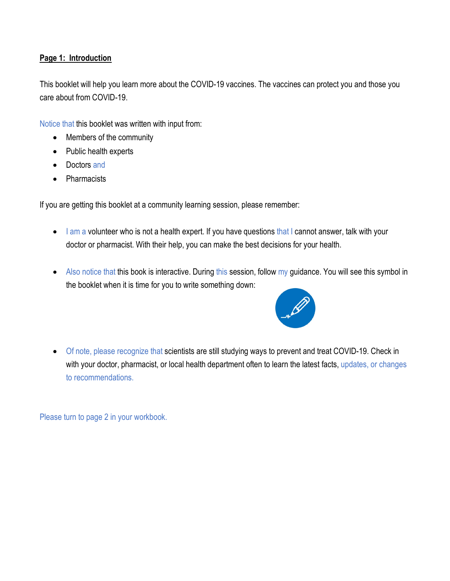## **Page 1: Introduction**

This booklet will help you learn more about the COVID-19 vaccines. The vaccines can protect you and those you care about from COVID-19.

Notice that this booklet was written with input from:

- Members of the community
- Public health experts
- Doctors and
- Pharmacists

If you are getting this booklet at a community learning session, please remember:

- I am a volunteer who is not a health expert. If you have questions that I cannot answer, talk with your doctor or pharmacist. With their help, you can make the best decisions for your health.
- Also notice that this book is interactive. During this session, follow my guidance. You will see this symbol in the booklet when it is time for you to write something down:



• Of note, please recognize that scientists are still studying ways to prevent and treat COVID-19. Check in with your doctor, pharmacist, or local health department often to learn the latest facts, updates, or changes to recommendations.

Please turn to page 2 in your workbook.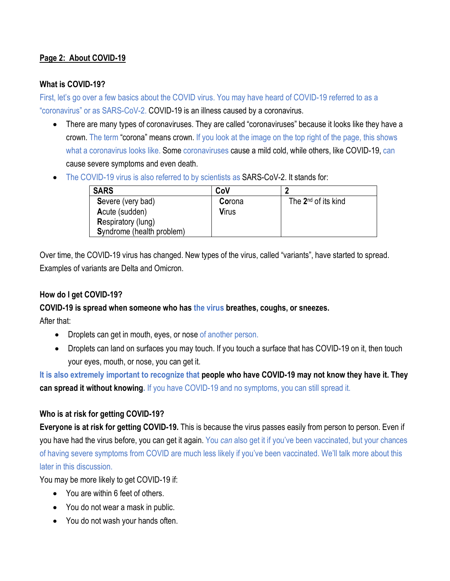# **Page 2: About COVID-19**

## **What is COVID-19?**

First, let's go over a few basics about the COVID virus. You may have heard of COVID-19 referred to as a "coronavirus" or as SARS-CoV-2. COVID-19 is an illness caused by a coronavirus.

- There are many types of coronaviruses. They are called "coronaviruses" because it looks like they have a crown. The term "corona" means crown. If you look at the image on the top right of the page, this shows what a coronavirus looks like. Some coronaviruses cause a mild cold, while others, like COVID-19, can cause severe symptoms and even death.
- The COVID-19 virus is also referred to by scientists as SARS-CoV-2. It stands for:

| <b>SARS</b>               | CoV          |                                 |
|---------------------------|--------------|---------------------------------|
| Severe (very bad)         | Corona       | The 2 <sup>nd</sup> of its kind |
| Acute (sudden)            | <b>Virus</b> |                                 |
| <b>Respiratory (lung)</b> |              |                                 |
| Syndrome (health problem) |              |                                 |

Over time, the COVID-19 virus has changed. New types of the virus, called "variants", have started to spread. Examples of variants are Delta and Omicron.

# **How do I get COVID-19?**

## **COVID-19 is spread when someone who has the virus breathes, coughs, or sneezes.**

After that:

- Droplets can get in mouth, eyes, or nose of another person.
- Droplets can land on surfaces you may touch. If you touch a surface that has COVID-19 on it, then touch your eyes, mouth, or nose, you can get it.

**It is also extremely important to recognize that people who have COVID-19 may not know they have it. They can spread it without knowing.** If you have COVID-19 and no symptoms, you can still spread it.

# **Who is at risk for getting COVID-19?**

**Everyone is at risk for getting COVID-19.** This is because the virus passes easily from person to person. Even if you have had the virus before, you can get it again. You *can* also get it if you've been vaccinated, but your chances of having severe symptoms from COVID are much less likely if you've been vaccinated. We'll talk more about this later in this discussion.

You may be more likely to get COVID-19 if:

- You are within 6 feet of others.
- You do not wear a mask in public.
- You do not wash your hands often.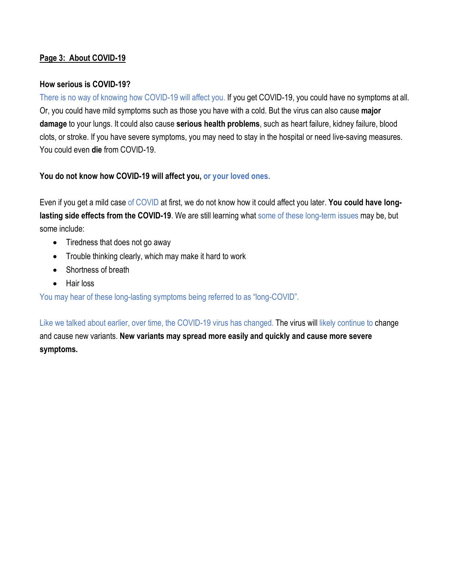# **Page 3: About COVID-19**

## **How serious is COVID-19?**

There is no way of knowing how COVID-19 will affect you. If you get COVID-19, you could have no symptoms at all. Or, you could have mild symptoms such as those you have with a cold. But the virus can also cause **major damage** to your lungs. It could also cause **serious health problems**, such as heart failure, kidney failure, blood clots, or stroke. If you have severe symptoms, you may need to stay in the hospital or need live-saving measures. You could even **die** from COVID-19.

**You do not know how COVID-19 will affect you, or your loved ones.**

Even if you get a mild case of COVID at first, we do not know how it could affect you later. **You could have longlasting side effects from the COVID-19**. We are still learning what some of these long-term issues may be, but some include:

- Tiredness that does not go away
- Trouble thinking clearly, which may make it hard to work
- Shortness of breath
- Hair loss

You may hear of these long-lasting symptoms being referred to as "long-COVID".

Like we talked about earlier, over time, the COVID-19 virus has changed. The virus will likely continue to change and cause new variants. **New variants may spread more easily and quickly and cause more severe symptoms.**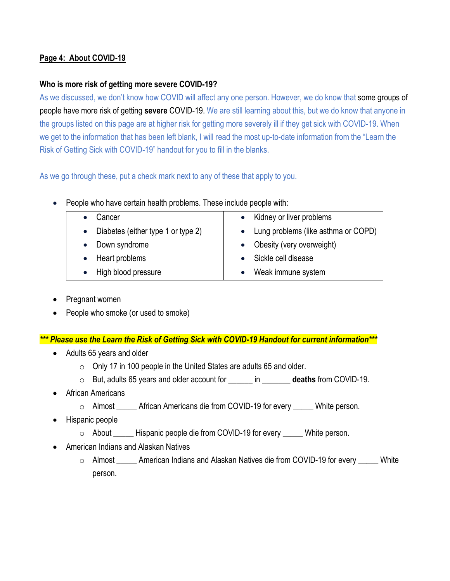# **Page 4: About COVID-19**

## **Who is more risk of getting more severe COVID-19?**

As we discussed, we don't know how COVID will affect any one person. However, we do know that some groups of people have more risk of getting **severe** COVID-19. We are still learning about this, but we do know that anyone in the groups listed on this page are at higher risk for getting more severely ill if they get sick with COVID-19. When we get to the information that has been left blank, I will read the most up-to-date information from the "Learn the Risk of Getting Sick with COVID-19" handout for you to fill in the blanks.

As we go through these, put a check mark next to any of these that apply to you.

• People who have certain health problems. These include people with:

| Cancer                               | • Kidney or liver problems            |
|--------------------------------------|---------------------------------------|
| • Diabetes (either type 1 or type 2) | • Lung problems (like asthma or COPD) |
| Down syndrome                        | • Obesity (very overweight)           |
| Heart problems                       | • Sickle cell disease                 |
| High blood pressure                  | Weak immune system                    |

- Pregnant women
- People who smoke (or used to smoke)

*\*\*\* Please use the Learn the Risk of Getting Sick with COVID-19 Handout for current information\*\*\**

- Adults 65 years and older
	- $\circ$  Only 17 in 100 people in the United States are adults 65 and older.
	- o But, adults 65 years and older account for \_\_\_\_\_\_ in \_\_\_\_\_\_\_ **deaths** from COVID-19.
- African Americans
	- o Almost \_\_\_\_\_ African Americans die from COVID-19 for every \_\_\_\_\_ White person.
- Hispanic people
	- o About \_\_\_\_\_ Hispanic people die from COVID-19 for every \_\_\_\_\_ White person.
- American Indians and Alaskan Natives
	- o Almost \_\_\_\_\_ American Indians and Alaskan Natives die from COVID-19 for every \_\_\_\_\_ White person.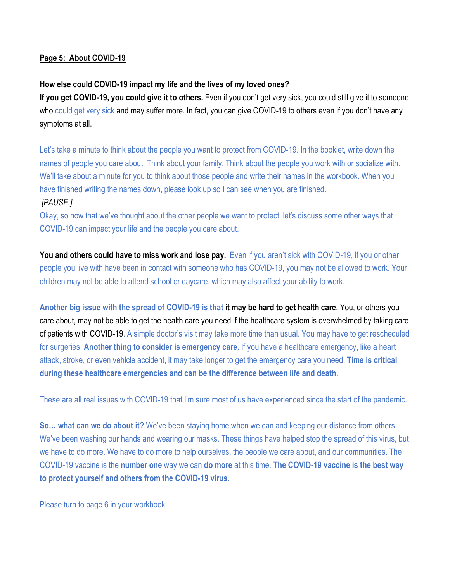## **Page 5: About COVID-19**

## **How else could COVID-19 impact my life and the lives of my loved ones?**

**If you get COVID-19, you could give it to others.** Even if you don't get very sick, you could still give it to someone who could get very sick and may suffer more. In fact, you can give COVID-19 to others even if you don't have any symptoms at all.

Let's take a minute to think about the people you want to protect from COVID-19. In the booklet, write down the names of people you care about. Think about your family. Think about the people you work with or socialize with. We'll take about a minute for you to think about those people and write their names in the workbook. When you have finished writing the names down, please look up so I can see when you are finished.  *[PAUSE.]*

Okay, so now that we've thought about the other people we want to protect, let's discuss some other ways that COVID-19 can impact your life and the people you care about.

**You and others could have to miss work and lose pay.** Even if you aren't sick with COVID-19, if you or other people you live with have been in contact with someone who has COVID-19, you may not be allowed to work. Your children may not be able to attend school or daycare, which may also affect your ability to work.

**Another big issue with the spread of COVID-19 is that it may be hard to get health care.** You, or others you care about, may not be able to get the health care you need if the healthcare system is overwhelmed by taking care of patients with COVID-19. A simple doctor's visit may take more time than usual. You may have to get rescheduled for surgeries. **Another thing to consider is emergency care.** If you have a healthcare emergency, like a heart attack, stroke, or even vehicle accident, it may take longer to get the emergency care you need. **Time is critical during these healthcare emergencies and can be the difference between life and death.**

These are all real issues with COVID-19 that I'm sure most of us have experienced since the start of the pandemic.

**So… what can we do about it?** We've been staying home when we can and keeping our distance from others. We've been washing our hands and wearing our masks. These things have helped stop the spread of this virus, but we have to do more. We have to do more to help ourselves, the people we care about, and our communities. The COVID-19 vaccine is the **number one** way we can **do more** at this time. **The COVID-19 vaccine is the best way to protect yourself and others from the COVID-19 virus.**

Please turn to page 6 in your workbook.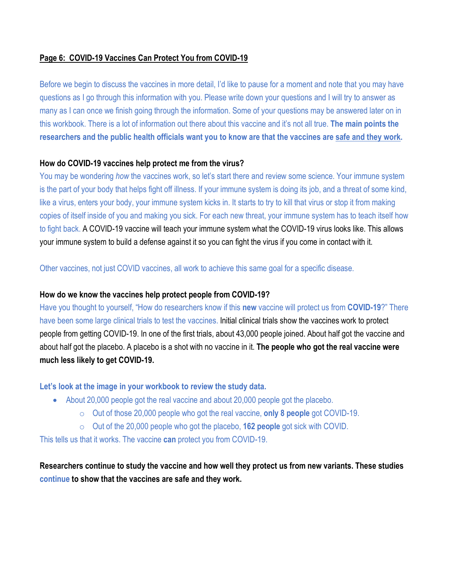## **Page 6: COVID-19 Vaccines Can Protect You from COVID-19**

Before we begin to discuss the vaccines in more detail, I'd like to pause for a moment and note that you may have questions as I go through this information with you. Please write down your questions and I will try to answer as many as I can once we finish going through the information. Some of your questions may be answered later on in this workbook. There is a lot of information out there about this vaccine and it's not all true. **The main points the researchers and the public health officials want you to know are that the vaccines are safe and they work.** 

## **How do COVID-19 vaccines help protect me from the virus?**

You may be wondering *how* the vaccines work, so let's start there and review some science. Your immune system is the part of your body that helps fight off illness. If your immune system is doing its job, and a threat of some kind, like a virus, enters your body, your immune system kicks in. It starts to try to kill that virus or stop it from making copies of itself inside of you and making you sick. For each new threat, your immune system has to teach itself how to fight back. A COVID-19 vaccine will teach your immune system what the COVID-19 virus looks like. This allows your immune system to build a defense against it so you can fight the virus if you come in contact with it.

Other vaccines, not just COVID vaccines, all work to achieve this same goal for a specific disease.

# **How do we know the vaccines help protect people from COVID-19?**

Have you thought to yourself, "How do researchers know if this **new** vaccine will protect us from **COVID-19**?" There have been some large clinical trials to test the vaccines. Initial clinical trials show the vaccines work to protect people from getting COVID-19. In one of the first trials, about 43,000 people joined. About half got the vaccine and about half got the placebo. A placebo is a shot with no vaccine in it. **The people who got the real vaccine were much less likely to get COVID-19.**

## **Let's look at the image in your workbook to review the study data.**

- About 20,000 people got the real vaccine and about 20,000 people got the placebo.
	- o Out of those 20,000 people who got the real vaccine, **only 8 people** got COVID-19.
	- o Out of the 20,000 people who got the placebo, **162 people** got sick with COVID.

This tells us that it works. The vaccine **can** protect you from COVID-19.

**Researchers continue to study the vaccine and how well they protect us from new variants. These studies continue to show that the vaccines are safe and they work.**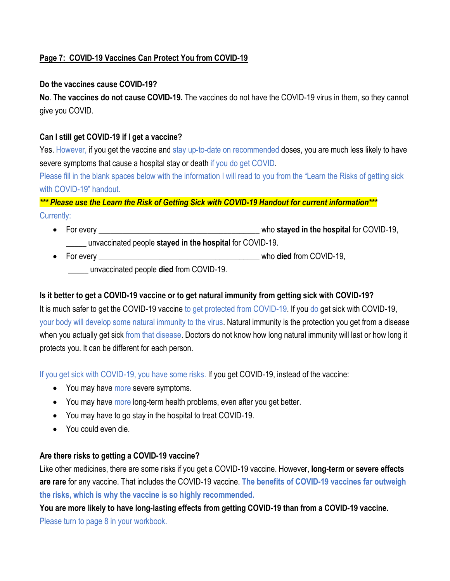# **Page 7: COVID-19 Vaccines Can Protect You from COVID-19**

## **Do the vaccines cause COVID-19?**

**No**. **The vaccines do not cause COVID-19.** The vaccines do not have the COVID-19 virus in them, so they cannot give you COVID.

# **Can I still get COVID-19 if I get a vaccine?**

Yes. However, if you get the vaccine and stay up-to-date on recommended doses, you are much less likely to have severe symptoms that cause a hospital stay or death if you do get COVID.

Please fill in the blank spaces below with the information I will read to you from the "Learn the Risks of getting sick with COVID-19" handout.

# *\*\*\* Please use the Learn the Risk of Getting Sick with COVID-19 Handout for current information\*\*\** Currently:

- For every \_\_\_\_\_\_\_\_\_\_\_\_\_\_\_\_\_\_\_\_\_\_\_\_\_\_\_\_\_\_\_\_\_\_\_\_\_\_\_\_ who **stayed in the hospital** for COVID-19, \_\_\_\_\_ unvaccinated people **stayed in the hospital** for COVID-19.
- For every \_\_\_\_\_\_\_\_\_\_\_\_\_\_\_\_\_\_\_\_\_\_\_\_\_\_\_\_\_\_\_\_\_\_\_\_\_\_\_\_ who **died** from COVID-19, \_\_\_\_\_ unvaccinated people **died** from COVID-19.

# **Is it better to get a COVID-19 vaccine or to get natural immunity from getting sick with COVID-19?**

It is much safer to get the COVID-19 vaccine to get protected from COVID-19. If you do get sick with COVID-19, your body will develop some natural immunity to the virus. Natural immunity is the protection you get from a disease when you actually get sick from that disease. Doctors do not know how long natural immunity will last or how long it protects you. It can be different for each person.

If you get sick with COVID-19, you have some risks. If you get COVID-19, instead of the vaccine:

- You may have more severe symptoms.
- You may have more long-term health problems, even after you get better.
- You may have to go stay in the hospital to treat COVID-19.
- You could even die.

# **Are there risks to getting a COVID-19 vaccine?**

Like other medicines, there are some risks if you get a COVID-19 vaccine. However, **long-term or severe effects are rare** for any vaccine. That includes the COVID-19 vaccine. **The benefits of COVID-19 vaccines far outweigh the risks, which is why the vaccine is so highly recommended.**

**You are more likely to have long-lasting effects from getting COVID-19 than from a COVID-19 vaccine.** Please turn to page 8 in your workbook.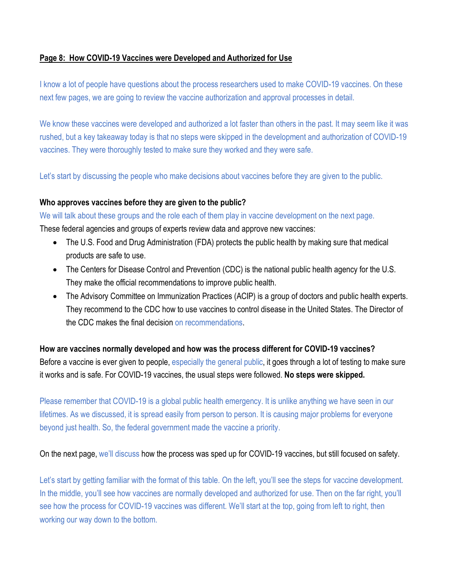## **Page 8: How COVID-19 Vaccines were Developed and Authorized for Use**

I know a lot of people have questions about the process researchers used to make COVID-19 vaccines. On these next few pages, we are going to review the vaccine authorization and approval processes in detail.

We know these vaccines were developed and authorized a lot faster than others in the past. It may seem like it was rushed, but a key takeaway today is that no steps were skipped in the development and authorization of COVID-19 vaccines. They were thoroughly tested to make sure they worked and they were safe.

Let's start by discussing the people who make decisions about vaccines before they are given to the public.

## **Who approves vaccines before they are given to the public?**

We will talk about these groups and the role each of them play in vaccine development on the next page.

These federal agencies and groups of experts review data and approve new vaccines:

- The U.S. Food and Drug Administration (FDA) protects the public health by making sure that medical products are safe to use.
- The Centers for Disease Control and Prevention (CDC) is the national public health agency for the U.S. They make the official recommendations to improve public health.
- The Advisory Committee on Immunization Practices (ACIP) is a group of doctors and public health experts. They recommend to the CDC how to use vaccines to control disease in the United States. The Director of the CDC makes the final decision on recommendations.

**How are vaccines normally developed and how was the process different for COVID-19 vaccines?** Before a vaccine is ever given to people, especially the general public, it goes through a lot of testing to make sure it works and is safe. For COVID-19 vaccines, the usual steps were followed. **No steps were skipped.**

Please remember that COVID-19 is a global public health emergency. It is unlike anything we have seen in our lifetimes. As we discussed, it is spread easily from person to person. It is causing major problems for everyone beyond just health. So, the federal government made the vaccine a priority.

On the next page, we'll discuss how the process was sped up for COVID-19 vaccines, but still focused on safety.

Let's start by getting familiar with the format of this table. On the left, you'll see the steps for vaccine development. In the middle, you'll see how vaccines are normally developed and authorized for use. Then on the far right, you'll see how the process for COVID-19 vaccines was different. We'll start at the top, going from left to right, then working our way down to the bottom.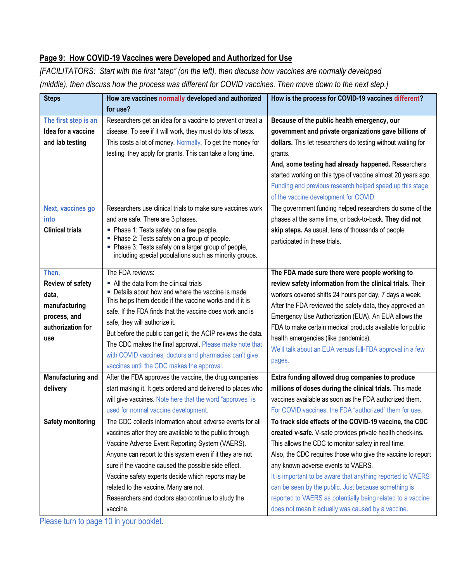# **Page 9: How COVID-19 Vaccines were Developed and Authorized for Use**

*[FACILITATORS: Start with the first "step" (on the left), then discuss how vaccines are normally developed (middle), then discuss how the process was different for COVID vaccines. Then move down to the next step.]*

| <b>Steps</b>             | How are vaccines normally developed and authorized                                                                      | How is the process for COVID-19 vaccines different?          |
|--------------------------|-------------------------------------------------------------------------------------------------------------------------|--------------------------------------------------------------|
|                          | for use?                                                                                                                |                                                              |
| The first step is an     | Researchers get an idea for a vaccine to prevent or treat a                                                             | Because of the public health emergency, our                  |
| Idea for a vaccine       | disease. To see if it will work, they must do lots of tests.                                                            | government and private organizations gave billions of        |
| and lab testing          | This costs a lot of money. Normally, To get the money for                                                               | dollars. This let researchers do testing without waiting for |
|                          | testing, they apply for grants. This can take a long time.                                                              | grants.                                                      |
|                          |                                                                                                                         | And, some testing had already happened. Researchers          |
|                          |                                                                                                                         | started working on this type of vaccine almost 20 years ago. |
|                          |                                                                                                                         | Funding and previous research helped speed up this stage     |
|                          |                                                                                                                         | of the vaccine development for COVID.                        |
| Next, vaccines go        | Researchers use clinical trials to make sure vaccines work                                                              | The government funding helped researchers do some of the     |
| into                     | and are safe. There are 3 phases.                                                                                       | phases at the same time, or back-to-back. They did not       |
| <b>Clinical trials</b>   | - Phase 1: Tests safety on a few people.<br>- Phase 2: Tests safety on a group of people.                               | skip steps. As usual, tens of thousands of people            |
|                          | Phase 3: Tests safety on a larger group of people,                                                                      | participated in these trials.                                |
|                          | including special populations such as minority groups.                                                                  |                                                              |
| Then,                    | The FDA reviews:                                                                                                        | The FDA made sure there were people working to               |
| <b>Review of safety</b>  | • All the data from the clinical trials                                                                                 | review safety information from the clinical trials. Their    |
| data,                    | - Details about how and where the vaccine is made                                                                       | workers covered shifts 24 hours per day, 7 days a week.      |
| manufacturing            | This helps them decide if the vaccine works and if it is                                                                | After the FDA reviewed the safety data, they approved an     |
| process, and             | safe. If the FDA finds that the vaccine does work and is                                                                | Emergency Use Authorization (EUA). An EUA allows the         |
| authorization for        | safe, they will authorize it.                                                                                           | FDA to make certain medical products available for public    |
| use                      | But before the public can get it, the ACIP reviews the data.<br>The CDC makes the final approval. Please make note that | health emergencies (like pandemics).                         |
|                          | with COVID vaccines, doctors and pharmacies can't give                                                                  | We'll talk about an EUA versus full-FDA approval in a few    |
|                          | vaccines until the CDC makes the approval.                                                                              | pages.                                                       |
| Manufacturing and        | After the FDA approves the vaccine, the drug companies                                                                  | Extra funding allowed drug companies to produce              |
| delivery                 | start making it. It gets ordered and delivered to places who                                                            | millions of doses during the clinical trials. This made      |
|                          | will give vaccines. Note here that the word "approves" is                                                               | vaccines available as soon as the FDA authorized them.       |
|                          | used for normal vaccine development.                                                                                    | For COVID vaccines, the FDA "authorized" them for use.       |
| <b>Safety monitoring</b> | The CDC collects information about adverse events for all                                                               | To track side effects of the COVID-19 vaccine, the CDC       |
|                          | vaccines after they are available to the public through                                                                 | created v-safe. V-safe provides private health check-ins.    |
|                          | Vaccine Adverse Event Reporting System (VAERS).                                                                         | This allows the CDC to monitor safety in real time.          |
|                          | Anyone can report to this system even if it they are not                                                                | Also, the CDC requires those who give the vaccine to report  |
|                          | sure if the vaccine caused the possible side effect.                                                                    | any known adverse events to VAERS.                           |
|                          | Vaccine safety experts decide which reports may be                                                                      | It is important to be aware that anything reported to VAERS  |
|                          | related to the vaccine. Many are not.                                                                                   | can be seen by the public. Just because something is         |
|                          | Researchers and doctors also continue to study the                                                                      | reported to VAERS as potentially being related to a vaccine  |
|                          | vaccine.                                                                                                                | does not mean it actually was caused by a vaccine.           |

Please turn to page 10 in your booklet.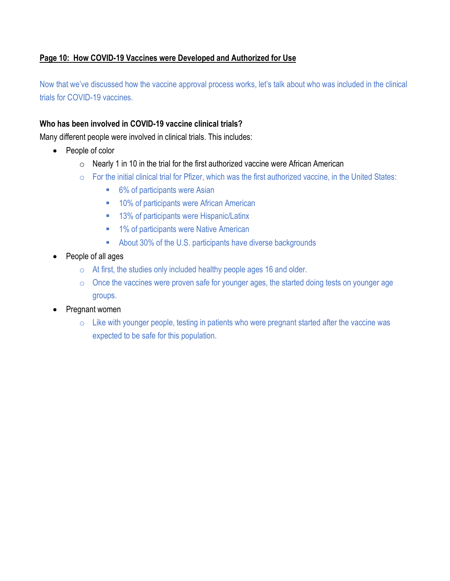# **Page 10: How COVID-19 Vaccines were Developed and Authorized for Use**

Now that we've discussed how the vaccine approval process works, let's talk about who was included in the clinical trials for COVID-19 vaccines.

## **Who has been involved in COVID-19 vaccine clinical trials?**

Many different people were involved in clinical trials. This includes:

- People of color
	- $\circ$  Nearly 1 in 10 in the trial for the first authorized vaccine were African American
	- o For the initial clinical trial for Pfizer, which was the first authorized vaccine, in the United States:
		- 6% of participants were Asian
		- **10% of participants were African American**
		- 13% of participants were Hispanic/Latinx
		- **1% of participants were Native American**
		- About 30% of the U.S. participants have diverse backgrounds
- People of all ages
	- $\circ$  At first, the studies only included healthy people ages 16 and older.
	- $\circ$  Once the vaccines were proven safe for younger ages, the started doing tests on younger age groups.
- Pregnant women
	- $\circ$  Like with younger people, testing in patients who were pregnant started after the vaccine was expected to be safe for this population.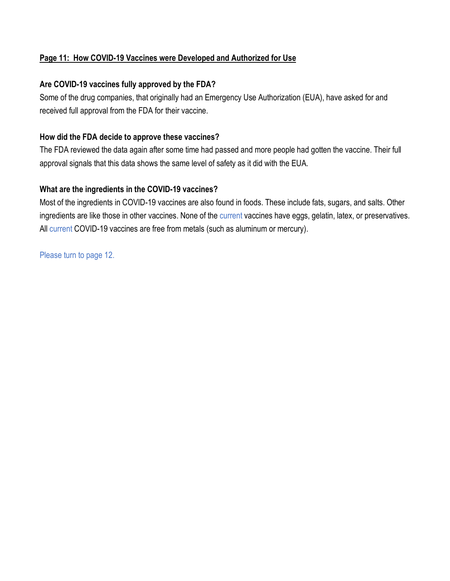# **Page 11: How COVID-19 Vaccines were Developed and Authorized for Use**

# **Are COVID-19 vaccines fully approved by the FDA?**

Some of the drug companies, that originally had an Emergency Use Authorization (EUA), have asked for and received full approval from the FDA for their vaccine.

## **How did the FDA decide to approve these vaccines?**

The FDA reviewed the data again after some time had passed and more people had gotten the vaccine. Their full approval signals that this data shows the same level of safety as it did with the EUA.

# **What are the ingredients in the COVID-19 vaccines?**

Most of the ingredients in COVID-19 vaccines are also found in foods. These include fats, sugars, and salts. Other ingredients are like those in other vaccines. None of the current vaccines have eggs, gelatin, latex, or preservatives. All current COVID-19 vaccines are free from metals (such as aluminum or mercury).

Please turn to page 12.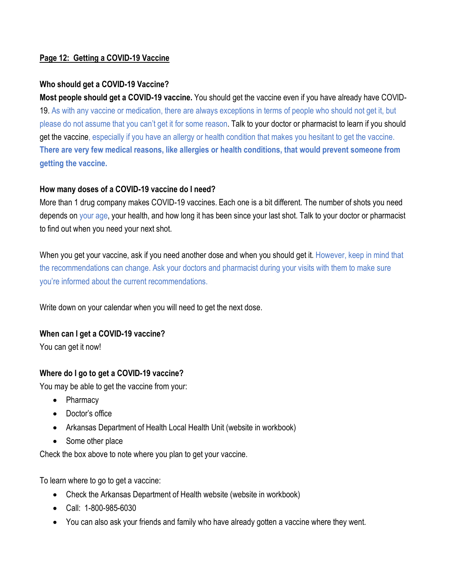# **Page 12: Getting a COVID-19 Vaccine**

## **Who should get a COVID-19 Vaccine?**

**Most people should get a COVID-19 vaccine.** You should get the vaccine even if you have already have COVID-19. As with any vaccine or medication, there are always exceptions in terms of people who should not get it, but please do not assume that you can't get it for some reason. Talk to your doctor or pharmacist to learn if you should get the vaccine, especially if you have an allergy or health condition that makes you hesitant to get the vaccine. **There are very few medical reasons, like allergies or health conditions, that would prevent someone from getting the vaccine.**

# **How many doses of a COVID-19 vaccine do I need?**

More than 1 drug company makes COVID-19 vaccines. Each one is a bit different. The number of shots you need depends on your age, your health, and how long it has been since your last shot. Talk to your doctor or pharmacist to find out when you need your next shot.

When you get your vaccine, ask if you need another dose and when you should get it. However, keep in mind that the recommendations can change. Ask your doctors and pharmacist during your visits with them to make sure you're informed about the current recommendations.

Write down on your calendar when you will need to get the next dose.

## **When can I get a COVID-19 vaccine?**

You can get it now!

## **Where do I go to get a COVID-19 vaccine?**

You may be able to get the vaccine from your:

- Pharmacy
- Doctor's office
- Arkansas Department of Health Local Health Unit (website in workbook)
- Some other place

Check the box above to note where you plan to get your vaccine.

To learn where to go to get a vaccine:

- Check the Arkansas Department of Health website (website in workbook)
- Call: 1-800-985-6030
- You can also ask your friends and family who have already gotten a vaccine where they went.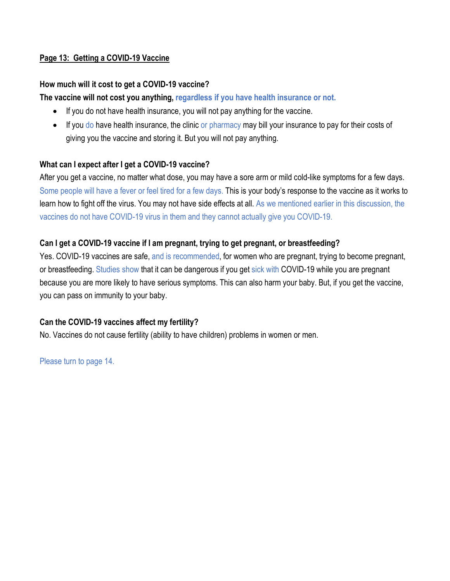# **Page 13: Getting a COVID-19 Vaccine**

## **How much will it cost to get a COVID-19 vaccine?**

## **The vaccine will not cost you anything, regardless if you have health insurance or not.**

- If you do not have health insurance, you will not pay anything for the vaccine.
- If you do have health insurance, the clinic or pharmacy may bill your insurance to pay for their costs of giving you the vaccine and storing it. But you will not pay anything.

## **What can I expect after I get a COVID-19 vaccine?**

After you get a vaccine, no matter what dose, you may have a sore arm or mild cold-like symptoms for a few days. Some people will have a fever or feel tired for a few days. This is your body's response to the vaccine as it works to learn how to fight off the virus. You may not have side effects at all. As we mentioned earlier in this discussion, the vaccines do not have COVID-19 virus in them and they cannot actually give you COVID-19.

## **Can I get a COVID-19 vaccine if I am pregnant, trying to get pregnant, or breastfeeding?**

Yes. COVID-19 vaccines are safe, and is recommended, for women who are pregnant, trying to become pregnant, or breastfeeding. Studies show that it can be dangerous if you get sick with COVID-19 while you are pregnant because you are more likely to have serious symptoms. This can also harm your baby. But, if you get the vaccine, you can pass on immunity to your baby.

# **Can the COVID-19 vaccines affect my fertility?**

No. Vaccines do not cause fertility (ability to have children) problems in women or men.

Please turn to page 14.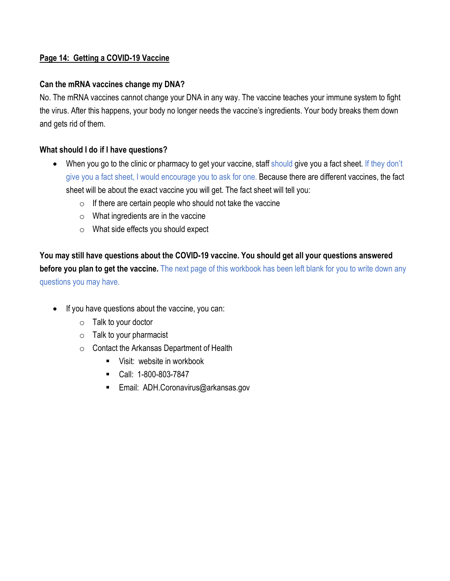# **Page 14: Getting a COVID-19 Vaccine**

# **Can the mRNA vaccines change my DNA?**

No. The mRNA vaccines cannot change your DNA in any way. The vaccine teaches your immune system to fight the virus. After this happens, your body no longer needs the vaccine's ingredients. Your body breaks them down and gets rid of them.

# **What should I do if I have questions?**

- When you go to the clinic or pharmacy to get your vaccine, staff should give you a fact sheet. If they don't give you a fact sheet, I would encourage you to ask for one. Because there are different vaccines, the fact sheet will be about the exact vaccine you will get. The fact sheet will tell you:
	- $\circ$  If there are certain people who should not take the vaccine
	- $\circ$  What ingredients are in the vaccine
	- o What side effects you should expect

**You may still have questions about the COVID-19 vaccine. You should get all your questions answered before you plan to get the vaccine.** The next page of this workbook has been left blank for you to write down any questions you may have.

- If you have questions about the vaccine, you can:
	- $\circ$  Talk to your doctor
	- $\circ$  Talk to your pharmacist
	- o Contact the Arkansas Department of Health
		- **Visit: website in workbook**
		- Call: 1-800-803-7847
		- **Email: ADH.Coronavirus@arkansas.gov**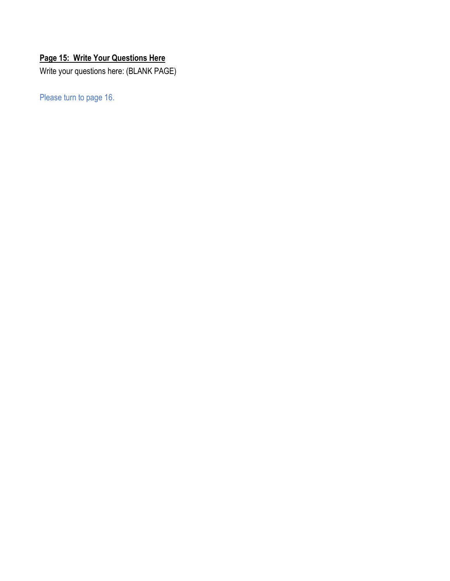# **Page 15: Write Your Questions Here**

Write your questions here: (BLANK PAGE)

Please turn to page 16.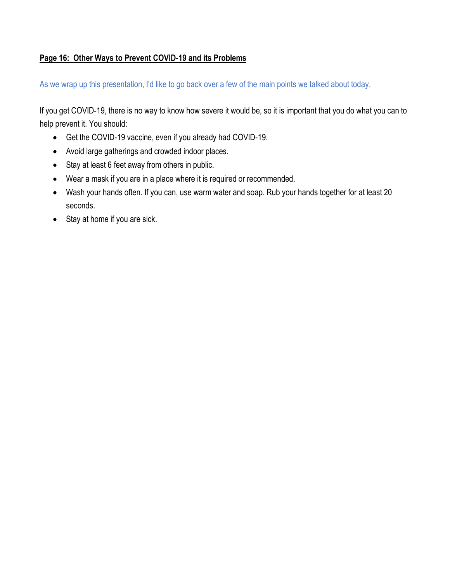# **Page 16: Other Ways to Prevent COVID-19 and its Problems**

As we wrap up this presentation, I'd like to go back over a few of the main points we talked about today.

If you get COVID-19, there is no way to know how severe it would be, so it is important that you do what you can to help prevent it. You should:

- Get the COVID-19 vaccine, even if you already had COVID-19.
- Avoid large gatherings and crowded indoor places.
- Stay at least 6 feet away from others in public.
- Wear a mask if you are in a place where it is required or recommended.
- Wash your hands often. If you can, use warm water and soap. Rub your hands together for at least 20 seconds.
- Stay at home if you are sick.